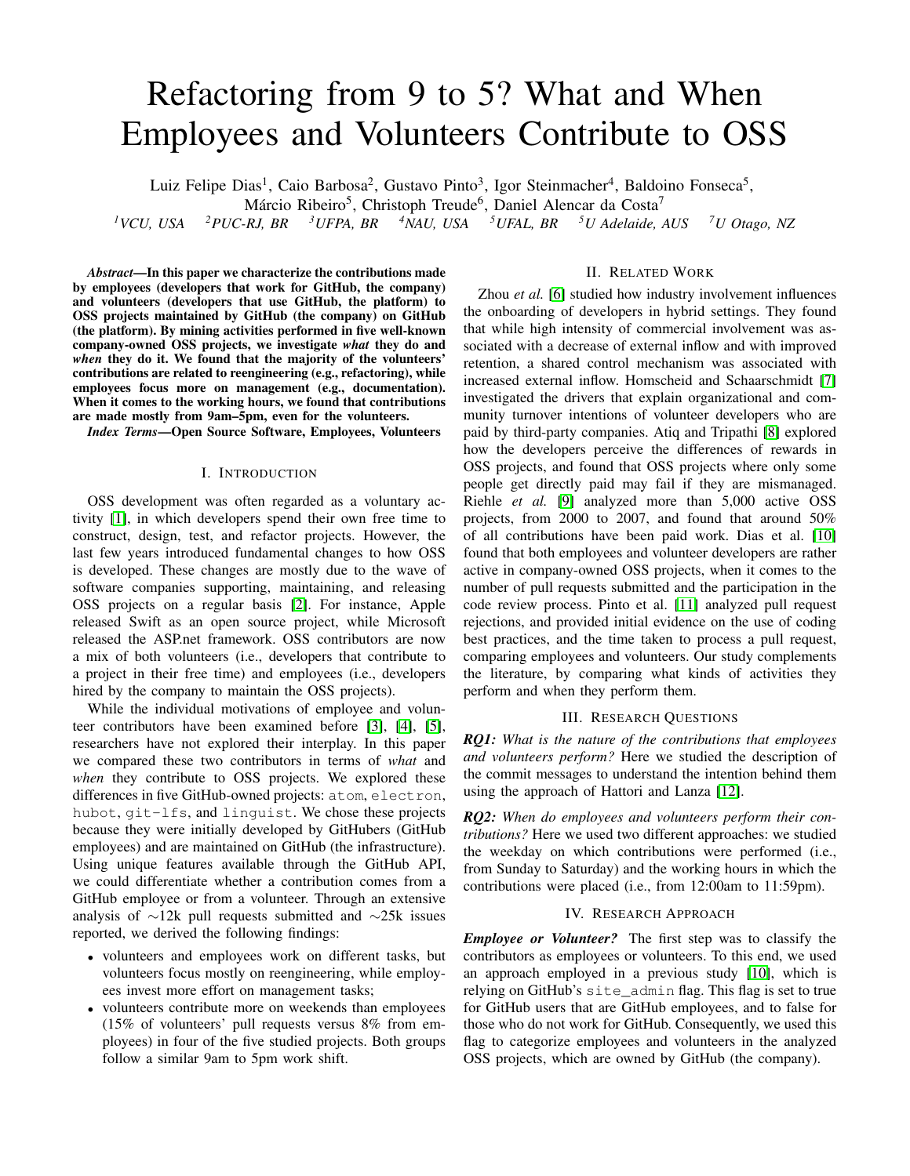# Refactoring from 9 to 5? What and When Employees and Volunteers Contribute to OSS

Luiz Felipe Dias<sup>1</sup>, Caio Barbosa<sup>2</sup>, Gustavo Pinto<sup>3</sup>, Igor Steinmacher<sup>4</sup>, Baldoino Fonseca<sup>5</sup>,

Márcio Ribeiro<sup>5</sup>, Christoph Treude<sup>6</sup>, Daniel Alencar da Costa<sup>7</sup>

*<sup>1</sup>VCU, USA <sup>2</sup>PUC-RJ, BR <sup>3</sup>UFPA, BR <sup>4</sup>NAU, USA <sup>5</sup>UFAL, BR <sup>5</sup>U Adelaide, AUS <sup>7</sup>U Otago, NZ*

*Abstract*—In this paper we characterize the contributions made by employees (developers that work for GitHub, the company) and volunteers (developers that use GitHub, the platform) to OSS projects maintained by GitHub (the company) on GitHub (the platform). By mining activities performed in five well-known company-owned OSS projects, we investigate *what* they do and *when* they do it. We found that the majority of the volunteers' contributions are related to reengineering (e.g., refactoring), while employees focus more on management (e.g., documentation). When it comes to the working hours, we found that contributions are made mostly from 9am–5pm, even for the volunteers.

*Index Terms*—Open Source Software, Employees, Volunteers

### I. INTRODUCTION

OSS development was often regarded as a voluntary activity [\[1\]](#page-4-0), in which developers spend their own free time to construct, design, test, and refactor projects. However, the last few years introduced fundamental changes to how OSS is developed. These changes are mostly due to the wave of software companies supporting, maintaining, and releasing OSS projects on a regular basis [\[2\]](#page-4-1). For instance, Apple released Swift as an open source project, while Microsoft released the ASP.net framework. OSS contributors are now a mix of both volunteers (i.e., developers that contribute to a project in their free time) and employees (i.e., developers hired by the company to maintain the OSS projects).

While the individual motivations of employee and volunteer contributors have been examined before [\[3\]](#page-4-2), [\[4\]](#page-4-3), [\[5\]](#page-4-4), researchers have not explored their interplay. In this paper we compared these two contributors in terms of *what* and *when* they contribute to OSS projects. We explored these differences in five GitHub-owned projects: atom, electron, hubot, git-lfs, and linguist. We chose these projects because they were initially developed by GitHubers (GitHub employees) and are maintained on GitHub (the infrastructure). Using unique features available through the GitHub API, we could differentiate whether a contribution comes from a GitHub employee or from a volunteer. Through an extensive analysis of ∼12k pull requests submitted and ∼25k issues reported, we derived the following findings:

- volunteers and employees work on different tasks, but volunteers focus mostly on reengineering, while employees invest more effort on management tasks;
- volunteers contribute more on weekends than employees (15% of volunteers' pull requests versus 8% from employees) in four of the five studied projects. Both groups follow a similar 9am to 5pm work shift.

## II. RELATED WORK

Zhou *et al.* [\[6\]](#page-4-5) studied how industry involvement influences the onboarding of developers in hybrid settings. They found that while high intensity of commercial involvement was associated with a decrease of external inflow and with improved retention, a shared control mechanism was associated with increased external inflow. Homscheid and Schaarschmidt [\[7\]](#page-4-6) investigated the drivers that explain organizational and community turnover intentions of volunteer developers who are paid by third-party companies. Atiq and Tripathi [\[8\]](#page-4-7) explored how the developers perceive the differences of rewards in OSS projects, and found that OSS projects where only some people get directly paid may fail if they are mismanaged. Riehle *et al.* [\[9\]](#page-4-8) analyzed more than 5,000 active OSS projects, from 2000 to 2007, and found that around 50% of all contributions have been paid work. Dias et al. [\[10\]](#page-4-9) found that both employees and volunteer developers are rather active in company-owned OSS projects, when it comes to the number of pull requests submitted and the participation in the code review process. Pinto et al. [\[11\]](#page-4-10) analyzed pull request rejections, and provided initial evidence on the use of coding best practices, and the time taken to process a pull request, comparing employees and volunteers. Our study complements the literature, by comparing what kinds of activities they perform and when they perform them.

#### III. RESEARCH QUESTIONS

*RQ1: What is the nature of the contributions that employees and volunteers perform?* Here we studied the description of the commit messages to understand the intention behind them using the approach of Hattori and Lanza [\[12\]](#page-4-11).

*RQ2: When do employees and volunteers perform their contributions?* Here we used two different approaches: we studied the weekday on which contributions were performed (i.e., from Sunday to Saturday) and the working hours in which the contributions were placed (i.e., from 12:00am to 11:59pm).

### IV. RESEARCH APPROACH

*Employee or Volunteer?* The first step was to classify the contributors as employees or volunteers. To this end, we used an approach employed in a previous study [\[10\]](#page-4-9), which is relying on GitHub's site\_admin flag. This flag is set to true for GitHub users that are GitHub employees, and to false for those who do not work for GitHub. Consequently, we used this flag to categorize employees and volunteers in the analyzed OSS projects, which are owned by GitHub (the company).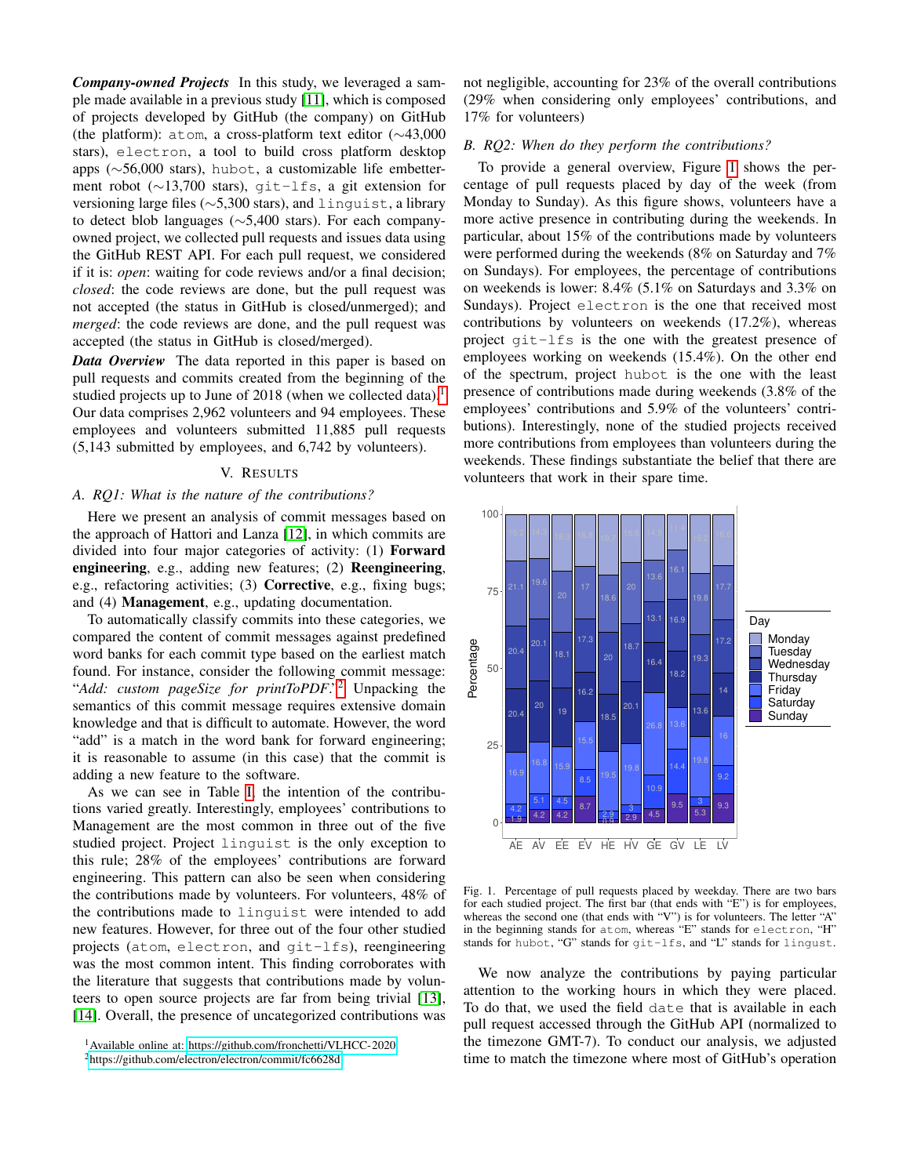*Company-owned Projects* In this study, we leveraged a sample made available in a previous study [\[11\]](#page-4-10), which is composed of projects developed by GitHub (the company) on GitHub (the platform): atom, a cross-platform text editor (∼43,000 stars), electron, a tool to build cross platform desktop apps (∼56,000 stars), hubot, a customizable life embetterment robot (∼13,700 stars), git-lfs, a git extension for versioning large files (∼5,300 stars), and linguist, a library to detect blob languages (∼5,400 stars). For each companyowned project, we collected pull requests and issues data using the GitHub REST API. For each pull request, we considered if it is: *open*: waiting for code reviews and/or a final decision; *closed*: the code reviews are done, but the pull request was not accepted (the status in GitHub is closed/unmerged); and *merged*: the code reviews are done, and the pull request was accepted (the status in GitHub is closed/merged).

*Data Overview* The data reported in this paper is based on pull requests and commits created from the beginning of the studied projects up to June of 20[1](#page-1-0)8 (when we collected data).<sup>1</sup> Our data comprises 2,962 volunteers and 94 employees. These employees and volunteers submitted 11,885 pull requests (5,143 submitted by employees, and 6,742 by volunteers).

#### V. RESULTS

#### *A. RQ1: What is the nature of the contributions?*

Here we present an analysis of commit messages based on the approach of Hattori and Lanza [\[12\]](#page-4-11), in which commits are divided into four major categories of activity: (1) Forward engineering, e.g., adding new features; (2) Reengineering, e.g., refactoring activities; (3) Corrective, e.g., fixing bugs; and (4) Management, e.g., updating documentation.

To automatically classify commits into these categories, we compared the content of commit messages against predefined word banks for each commit type based on the earliest match found. For instance, consider the following commit message: "*Add: custom pageSize for printToPDF*."[2](#page-1-1) Unpacking the semantics of this commit message requires extensive domain knowledge and that is difficult to automate. However, the word "add" is a match in the word bank for forward engineering; it is reasonable to assume (in this case) that the commit is adding a new feature to the software.

As we can see in Table [I,](#page-3-0) the intention of the contributions varied greatly. Interestingly, employees' contributions to Management are the most common in three out of the five studied project. Project linguist is the only exception to this rule; 28% of the employees' contributions are forward engineering. This pattern can also be seen when considering the contributions made by volunteers. For volunteers, 48% of the contributions made to linguist were intended to add new features. However, for three out of the four other studied projects (atom, electron, and git-lfs), reengineering was the most common intent. This finding corroborates with the literature that suggests that contributions made by volunteers to open source projects are far from being trivial [\[13\]](#page-4-12), [\[14\]](#page-4-13). Overall, the presence of uncategorized contributions was

not negligible, accounting for 23% of the overall contributions (29% when considering only employees' contributions, and 17% for volunteers)

## *B. RQ2: When do they perform the contributions?*

To provide a general overview, Figure [1](#page-1-2) shows the percentage of pull requests placed by day of the week (from Monday to Sunday). As this figure shows, volunteers have a more active presence in contributing during the weekends. In particular, about 15% of the contributions made by volunteers were performed during the weekends (8% on Saturday and 7% on Sundays). For employees, the percentage of contributions on weekends is lower: 8.4% (5.1% on Saturdays and 3.3% on Sundays). Project electron is the one that received most contributions by volunteers on weekends (17.2%), whereas project git-lfs is the one with the greatest presence of employees working on weekends (15.4%). On the other end of the spectrum, project hubot is the one with the least presence of contributions made during weekends (3.8% of the employees' contributions and 5.9% of the volunteers' contributions). Interestingly, none of the studied projects received more contributions from employees than volunteers during the weekends. These findings substantiate the belief that there are volunteers that work in their spare time.



<span id="page-1-2"></span>Fig. 1. Percentage of pull requests placed by weekday. There are two bars for each studied project. The first bar (that ends with "E") is for employees, whereas the second one (that ends with "V") is for volunteers. The letter "A" in the beginning stands for atom, whereas "E" stands for electron, "H" stands for hubot, "G" stands for git-lfs, and "L" stands for lingust.

We now analyze the contributions by paying particular attention to the working hours in which they were placed. To do that, we used the field date that is available in each pull request accessed through the GitHub API (normalized to the timezone GMT-7). To conduct our analysis, we adjusted time to match the timezone where most of GitHub's operation

<span id="page-1-0"></span><sup>1</sup>Available online at: [https://github.com/fronchetti/VLHCC-2020.](https://github.com/fronchetti/VLHCC-2020)

<span id="page-1-1"></span><sup>2</sup><https://github.com/electron/electron/commit/fc6628d>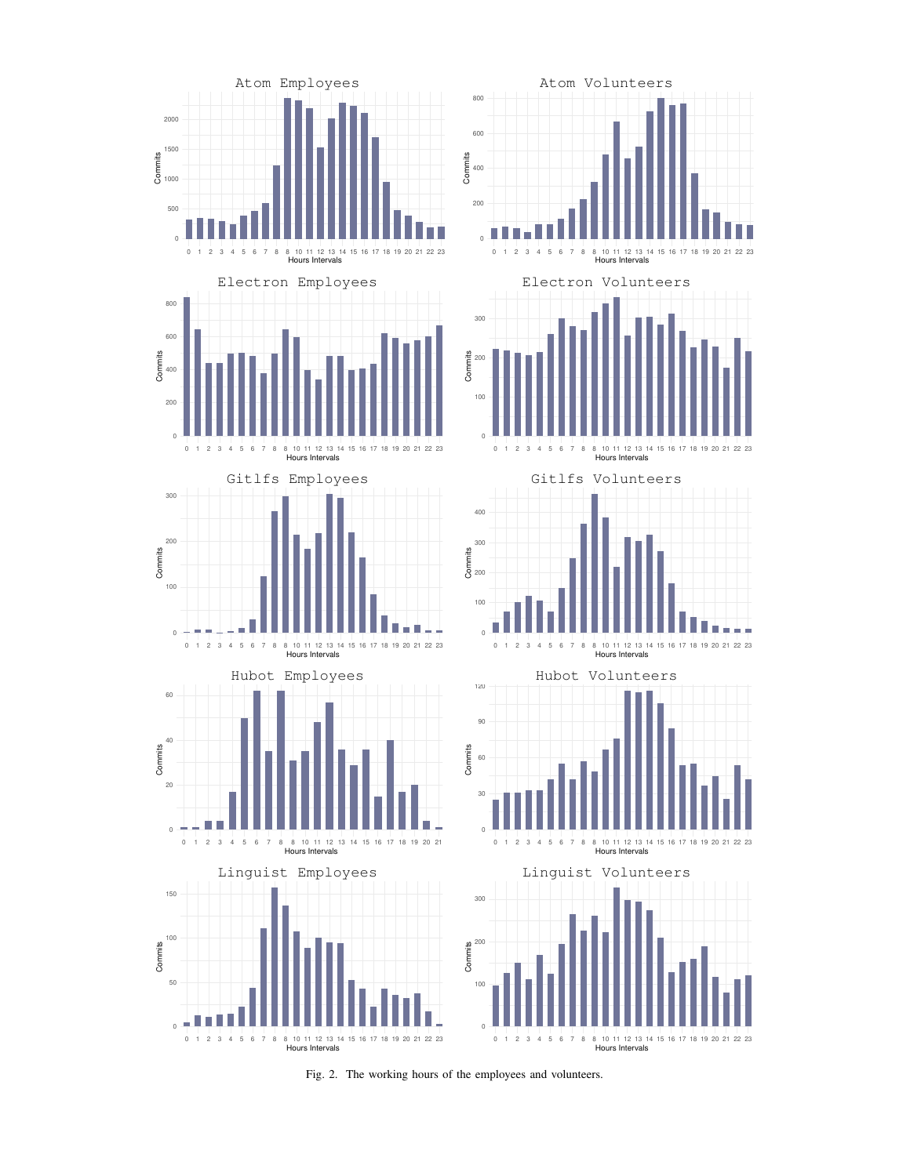

<span id="page-2-0"></span>Fig. 2. The working hours of the employees and volunteers.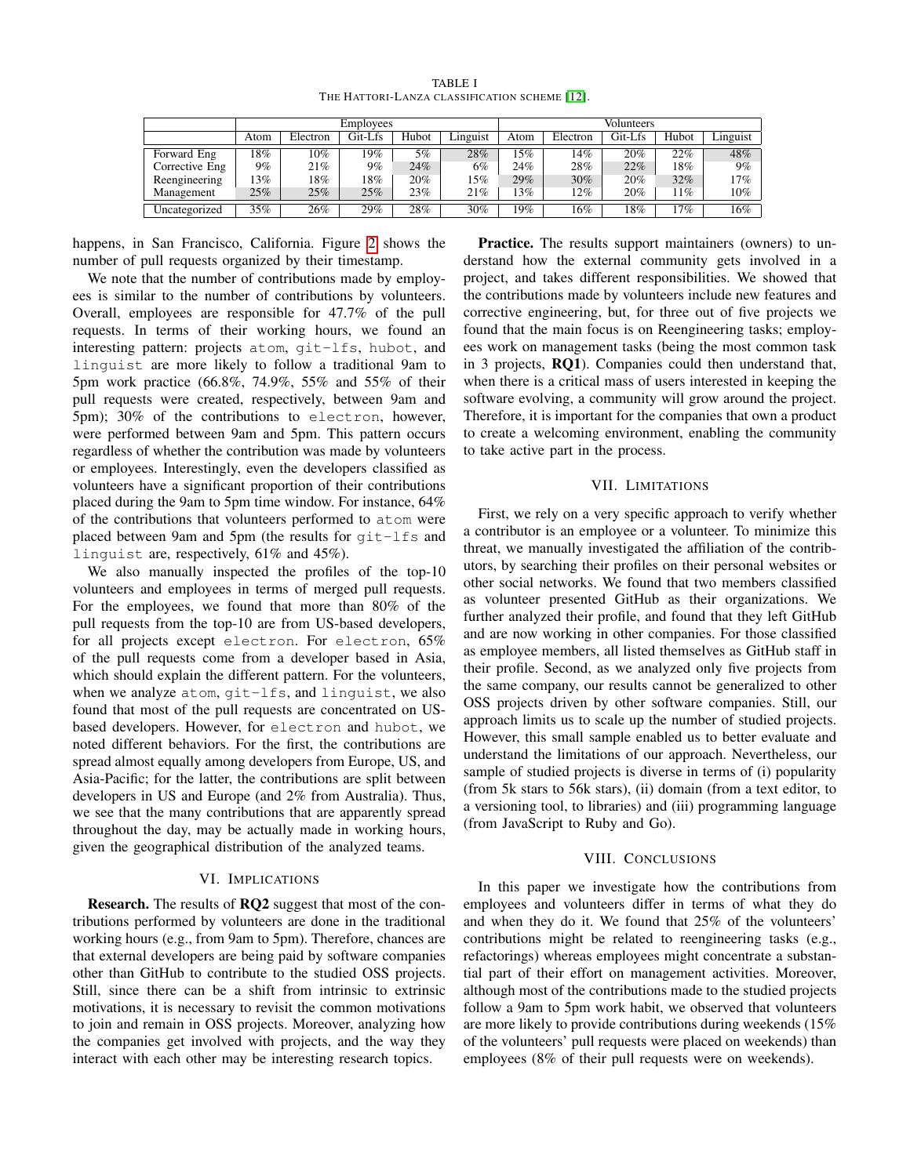<span id="page-3-0"></span>

|                | Employees |          |         |       |          | Volunteers |          |         |       |          |
|----------------|-----------|----------|---------|-------|----------|------------|----------|---------|-------|----------|
|                | Atom      | Electron | Git-Lfs | Hubot | Linguist | Atom       | Electron | Git-Lfs | Hubot | Linguist |
| Forward Eng    | 18%       | 10%      | 19%     | 5%    | 28%      | 15%        | 14%      | 20%     | 22%   | 48%      |
| Corrective Eng | $9\%$     | 21%      | 9%      | 24%   | 6%       | 24%        | 28%      | 22%     | 18%   | 9%       |
| Reengineering  | 13%       | 18%      | 18%     | 20%   | 15%      | 29%        | 30%      | 20%     | 32%   | 17%      |
| Management     | 25%       | 25%      | 25%     | 23%   | 21%      | 13%        | 12%      | 20%     | 11%   | 10%      |
| Uncategorized  | $35\%$    | 26%      | 29%     | 28%   | 30%      | 19%        | 16%      | 18%     | $7\%$ | $16\%$   |

TABLE I THE HATTORI-LANZA CLASSIFICATION SCHEME [\[12\]](#page-4-11).

happens, in San Francisco, California. Figure [2](#page-2-0) shows the number of pull requests organized by their timestamp.

We note that the number of contributions made by employees is similar to the number of contributions by volunteers. Overall, employees are responsible for 47.7% of the pull requests. In terms of their working hours, we found an interesting pattern: projects atom, git-lfs, hubot, and linguist are more likely to follow a traditional 9am to 5pm work practice (66.8%, 74.9%, 55% and 55% of their pull requests were created, respectively, between 9am and 5pm); 30% of the contributions to electron, however, were performed between 9am and 5pm. This pattern occurs regardless of whether the contribution was made by volunteers or employees. Interestingly, even the developers classified as volunteers have a significant proportion of their contributions placed during the 9am to 5pm time window. For instance, 64% of the contributions that volunteers performed to atom were placed between 9am and 5pm (the results for git-lfs and linguist are, respectively, 61% and 45%).

We also manually inspected the profiles of the top-10 volunteers and employees in terms of merged pull requests. For the employees, we found that more than 80% of the pull requests from the top-10 are from US-based developers, for all projects except electron. For electron, 65% of the pull requests come from a developer based in Asia, which should explain the different pattern. For the volunteers, when we analyze atom, git-lfs, and linguist, we also found that most of the pull requests are concentrated on USbased developers. However, for electron and hubot, we noted different behaviors. For the first, the contributions are spread almost equally among developers from Europe, US, and Asia-Pacific; for the latter, the contributions are split between developers in US and Europe (and 2% from Australia). Thus, we see that the many contributions that are apparently spread throughout the day, may be actually made in working hours, given the geographical distribution of the analyzed teams.

#### VI. IMPLICATIONS

Research. The results of RQ2 suggest that most of the contributions performed by volunteers are done in the traditional working hours (e.g., from 9am to 5pm). Therefore, chances are that external developers are being paid by software companies other than GitHub to contribute to the studied OSS projects. Still, since there can be a shift from intrinsic to extrinsic motivations, it is necessary to revisit the common motivations to join and remain in OSS projects. Moreover, analyzing how the companies get involved with projects, and the way they interact with each other may be interesting research topics.

Practice. The results support maintainers (owners) to understand how the external community gets involved in a project, and takes different responsibilities. We showed that the contributions made by volunteers include new features and corrective engineering, but, for three out of five projects we found that the main focus is on Reengineering tasks; employees work on management tasks (being the most common task in 3 projects, RQ1). Companies could then understand that, when there is a critical mass of users interested in keeping the software evolving, a community will grow around the project. Therefore, it is important for the companies that own a product to create a welcoming environment, enabling the community to take active part in the process.

#### VII. LIMITATIONS

First, we rely on a very specific approach to verify whether a contributor is an employee or a volunteer. To minimize this threat, we manually investigated the affiliation of the contributors, by searching their profiles on their personal websites or other social networks. We found that two members classified as volunteer presented GitHub as their organizations. We further analyzed their profile, and found that they left GitHub and are now working in other companies. For those classified as employee members, all listed themselves as GitHub staff in their profile. Second, as we analyzed only five projects from the same company, our results cannot be generalized to other OSS projects driven by other software companies. Still, our approach limits us to scale up the number of studied projects. However, this small sample enabled us to better evaluate and understand the limitations of our approach. Nevertheless, our sample of studied projects is diverse in terms of (i) popularity (from 5k stars to 56k stars), (ii) domain (from a text editor, to a versioning tool, to libraries) and (iii) programming language (from JavaScript to Ruby and Go).

#### VIII. CONCLUSIONS

In this paper we investigate how the contributions from employees and volunteers differ in terms of what they do and when they do it. We found that 25% of the volunteers' contributions might be related to reengineering tasks (e.g., refactorings) whereas employees might concentrate a substantial part of their effort on management activities. Moreover, although most of the contributions made to the studied projects follow a 9am to 5pm work habit, we observed that volunteers are more likely to provide contributions during weekends (15% of the volunteers' pull requests were placed on weekends) than employees (8% of their pull requests were on weekends).